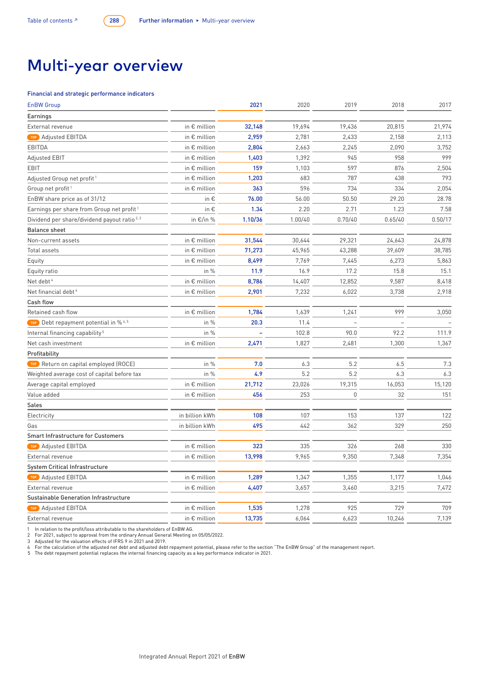## Multi-year overview

## Financial and strategic performance indicators

| <b>EnBW Group</b>                                       |                       | 2021    | 2020    | 2019        | 2018    | 2017    |
|---------------------------------------------------------|-----------------------|---------|---------|-------------|---------|---------|
| Earnings                                                |                       |         |         |             |         |         |
| External revenue                                        | in € million          | 32,148  | 19,694  | 19,436      | 20,815  | 21,974  |
| TOP Adjusted EBITDA                                     | in € million          | 2,959   | 2,781   | 2,433       | 2,158   | 2,113   |
| EBITDA                                                  | in $\epsilon$ million | 2,804   | 2,663   | 2,245       | 2,090   | 3,752   |
| Adjusted EBIT                                           | in $\epsilon$ million | 1,403   | 1,392   | 945         | 958     | 999     |
| EBIT                                                    | in $\epsilon$ million | 159     | 1,103   | 597         | 876     | 2,504   |
| Adjusted Group net profit <sup>1</sup>                  | in $\epsilon$ million | 1,203   | 683     | 787         | 438     | 793     |
| Group net profit <sup>1</sup>                           | in $\epsilon$ million | 363     | 596     | 734         | 334     | 2,054   |
| EnBW share price as of 31/12                            | in €                  | 76.00   | 56.00   | 50.50       | 29.20   | 28.78   |
| Earnings per share from Group net profit <sup>1</sup>   | in €                  | 1.34    | 2.20    | 2.71        | 1.23    | 7.58    |
| Dividend per share/dividend payout ratio <sup>2,3</sup> | in $\epsilon$ /in %   | 1.10/36 | 1.00/40 | 0.70/40     | 0.65/40 | 0.50/17 |
| <b>Balance sheet</b>                                    |                       |         |         |             |         |         |
| Non-current assets                                      | in € million          | 31,544  | 30,644  | 29,321      | 24,643  | 24,878  |
| Total assets                                            | in $\epsilon$ million | 71,273  | 45,965  | 43,288      | 39,609  | 38,785  |
| Equity                                                  | in $\epsilon$ million | 8,499   | 7,769   | 7,445       | 6,273   | 5,863   |
| Equity ratio                                            | in %                  | 11.9    | 16.9    | 17.2        | 15.8    | 15.1    |
| Net debt <sup>4</sup>                                   | in $\epsilon$ million | 8,786   | 14,407  | 12,852      | 9,587   | 8,418   |
| Net financial debt <sup>4</sup>                         | in $\epsilon$ million | 2,901   | 7,232   | 6,022       | 3,738   | 2,918   |
| Cash flow                                               |                       |         |         |             |         |         |
| Retained cash flow                                      | in € million          | 1,784   | 1,639   | 1,241       | 999     | 3,050   |
| TOP Debt repayment potential in % <sup>4,5</sup>        | in %                  | 20.3    | 11.4    |             |         |         |
| Internal financing capability <sup>5</sup>              | in $%$                |         | 102.8   | 90.0        | 92.2    | 111.9   |
| Net cash investment                                     | in $\epsilon$ million | 2,471   | 1,827   | 2,481       | 1,300   | 1,367   |
| Profitability                                           |                       |         |         |             |         |         |
| TOP Return on capital employed (ROCE)                   | in %                  | 7.0     | 6.3     | 5.2         | 6.5     | 7.3     |
| Weighted average cost of capital before tax             | in %                  | 4.9     | 5.2     | 5.2         | 6.3     | 6.3     |
| Average capital employed                                | in $\epsilon$ million | 21,712  | 23,026  | 19,315      | 16,053  | 15,120  |
| Value added                                             | in $\epsilon$ million | 456     | 253     | $\mathbb O$ | 32      | 151     |
| Sales                                                   |                       |         |         |             |         |         |
| Electricity                                             | in billion kWh        | 108     | 107     | 153         | 137     | 122     |
| Gas                                                     | in billion kWh        | 495     | 442     | 362         | 329     | 250     |
| <b>Smart Infrastructure for Customers</b>               |                       |         |         |             |         |         |
| Adjusted EBITDA<br>TOP                                  | in € million          | 323     | 335     | 326         | 268     | 330     |
| External revenue                                        | in $\epsilon$ million | 13,998  | 9,965   | 9,350       | 7,348   | 7,354   |
| System Critical Infrastructure                          |                       |         |         |             |         |         |
| TOP Adjusted EBITDA                                     | in € million          | 1,289   | 1,347   | 1,355       | 1,177   | 1,046   |
| External revenue                                        | in € million          | 4,407   | 3,657   | 3,460       | 3,215   | 7,472   |
| Sustainable Generation Infrastructure                   |                       |         |         |             |         |         |
| TOP Adjusted EBITDA                                     | in € million          | 1,535   | 1,278   | 925         | 729     | 709     |
| External revenue                                        | in € million          | 13,735  | 6,064   | 6,623       | 10,246  | 7,139   |

1 In relation to the profit/loss attributable to the shareholders of EnBW AG.<br>2 For 2021, subject to approval from the ordinary Annual General Meeting on 05/05/2022.<br>3 Adjusted for the valuation effects of IFRS 9 in 2021 a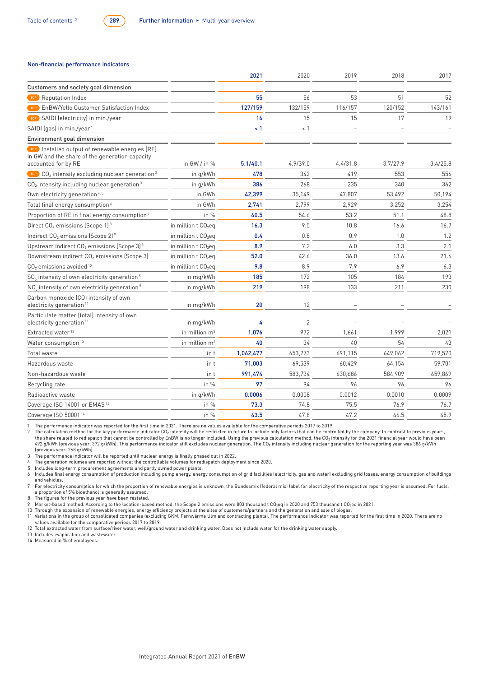## Non-financial performance indicators

|                                                                                                                          |                                   | 2021      | 2020           | 2019     | 2018     | 2017     |
|--------------------------------------------------------------------------------------------------------------------------|-----------------------------------|-----------|----------------|----------|----------|----------|
| Customers and society goal dimension                                                                                     |                                   |           |                |          |          |          |
| Reputation Index<br>TOP <sup>)</sup>                                                                                     |                                   | 55        | 56             | 53       | 51       | 52       |
| EnBW/Yello Customer Satisfaction Index<br>TOP                                                                            |                                   | 127/159   | 132/159        | 116/157  | 120/152  | 143/161  |
| SAIDI (electricity) in min./year<br><b>TOP</b>                                                                           |                                   | 16        | 15             | 15       | 17       | 19       |
| SAIDI (gas) in min./year <sup>1</sup>                                                                                    |                                   | $\leq 1$  | $<$ 1          |          |          |          |
| Environment goal dimension                                                                                               |                                   |           |                |          |          |          |
| TOP Installed output of renewable energies (RE)<br>in GW and the share of the generation capacity<br>accounted for by RE | in GW / in $%$                    | 5.1/40.1  | 4.9/39.0       | 4.4/31.8 | 3.7/27.9 | 3.4/25.8 |
| <b>TOP</b> CO <sub>2</sub> intensity excluding nuclear generation <sup>2</sup>                                           | in g/kWh                          | 478       | 342            | 419      | 553      | 556      |
| $CO2$ intensity including nuclear generation <sup>3</sup>                                                                | in g/kWh                          | 386       | 268            | 235      | 340      | 362      |
| Own electricity generation <sup>4, 5</sup>                                                                               | in GWh                            | 42,399    | 35,149         | 47.807   | 53,492   | 50,194   |
| Total final energy consumption <sup>6</sup>                                                                              | in GWh                            | 2,741     | 2,799          | 2,929    | 3,252    | 3,254    |
| Proportion of RE in final energy consumption <sup>7</sup>                                                                | in %                              | 60.5      | 54.6           | 53.2     | 51.1     | 48.8     |
| Direct CO <sub>2</sub> emissions (Scope 1) <sup>8</sup>                                                                  | in million t CO <sub>2</sub> eq   | 16.3      | 9.5            | 10.8     | 16.6     | 16.7     |
| Indirect CO <sub>2</sub> emissions (Scope 2) <sup>9</sup>                                                                | in million t CO <sub>2</sub> eq   | 0.4       | 0.8            | 0.9      | 1.0      | 1.2      |
| Upstream indirect CO <sub>2</sub> emissions (Scope 3) <sup>8</sup>                                                       | in million t CO <sub>2</sub> eg   | 8.9       | 7.2            | 6.0      | 3.3      | 2.1      |
| Downstream indirect CO <sub>2</sub> emissions (Scope 3)                                                                  | in million $t$ CO <sub>2</sub> eq | 52.0      | 42.6           | 36.0     | 13.6     | 21.6     |
| CO <sub>2</sub> emissions avoided <sup>10</sup>                                                                          | in million $t$ CO <sub>2</sub> eq | 9.8       | 8.9            | 7.9      | 6.9      | 6.3      |
| SO <sub>2</sub> intensity of own electricity generation <sup>5</sup>                                                     | in mg/kWh                         | 185       | 172            | 105      | 184      | 193      |
| NO intensity of own electricity generation <sup>5</sup>                                                                  | in mg/kWh                         | 219       | 198            | 133      | 211      | 230      |
| Carbon monoxide (CO) intensity of own<br>electricity generation <sup>11</sup>                                            | in mg/kWh                         | 20        | 12             |          |          |          |
| Particulate matter (total) intensity of own<br>electricity generation <sup>11</sup>                                      | in mg/kWh                         | 4         | $\overline{2}$ |          |          |          |
| Extracted water <sup>12</sup>                                                                                            | in million $m3$                   | 1,076     | 972            | 1,661    | 1,999    | 2,021    |
| Water consumption <sup>13</sup>                                                                                          | in million $m3$                   | 40        | 34             | 40       | 54       | 43       |
| Total waste                                                                                                              | in t                              | 1,062,477 | 653,273        | 691,115  | 649,062  | 719,570  |
| Hazardous waste                                                                                                          | in t                              | 71,003    | 69,539         | 60.429   | 64,154   | 59,701   |
| Non-hazardous waste                                                                                                      | in t                              | 991,474   | 583,734        | 630,686  | 584,909  | 659,869  |
| Recycling rate                                                                                                           | in %                              | 97        | 94             | 96       | 96       | 96       |
| Radioactive waste                                                                                                        | in g/kWh                          | 0.0006    | 0.0008         | 0.0012   | 0.0010   | 0.0009   |
| Coverage ISO 14001 or EMAS <sup>14</sup>                                                                                 | in $%$                            | 73.3      | 74.8           | 75.5     | 76.9     | 76.7     |
| Coverage ISO 50001 <sup>14</sup>                                                                                         | in %                              | 43.5      | 47.8           | 47.2     | 46.5     | 45.9     |

1 The performance indicator was reported for the first time in 2021. There are no values available for the comparative periods 2017 to 2019.<br>2 The calculation method for the key performance indicator CO<sub>2</sub> intensity will b 492 g/kWh (previous year: 372 g/kWh). This performance indicator still excludes nuclear generation. The CO<sub>2</sub> intensity including nuclear generation for the reporting year was 386 g/kWh<br>(previous year: 268 q/kWh).

3 The performance indicator will be reported until nuclear energy is finally phased out in 2022.

The generation volumes are reported without the controllable volumes for redispatch deployment since 2020.

5 Includes long-term procurement agreements and partly owned power plants.

6 Includes final energy consumption of production including pump energy, energy consumption of grid facilities (electricity, gas and water) excluding grid losses, energy consumption of buildings and vehicles.

, For electricity consumption for which the proportion of renewable energies is unknown, the Bundesmix (federal mix) label for electricity of the respective reporting year is assumed. For fuels, a proportion of 5% bioethan

8 The figures for the previous year have been restated.

9 Market-based method. According to the location-based method, the Scope 2 emissions were 803 thousand t CO<sub>z</sub>eq in 2020 and 753 thousand t CO<sub>z</sub>eq in 2021.<br>10 Through the expansion of renewable energies, energy efficiency

11 Variations in the group of consolidated companies (excluding GKM, Fernwärme Ulm and contracting plants). The performance indicator was reported for the first time in 2020. There are no values available for the comparative periods 2017 to 2019.

12 Total extracted water from surface/river water, well/ground water and drinking water. Does not include water for the drinking water supply.

13 Includes evaporation and wastewater. 14 Measured in % of employees.